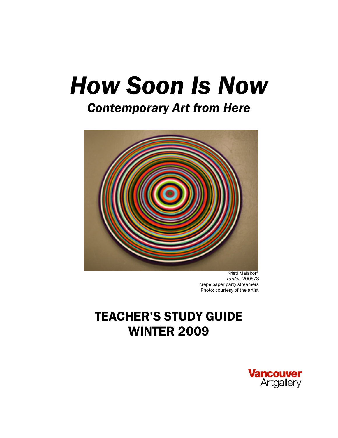# *How Soon Is Now*

## *Contemporary Art from Here*



 Kristi Malakoff *Target,* 2005/8 crepe paper party streamers Photo: courtesy of the artist

# TEACHER'S STUDY GUIDE WINTER 2009

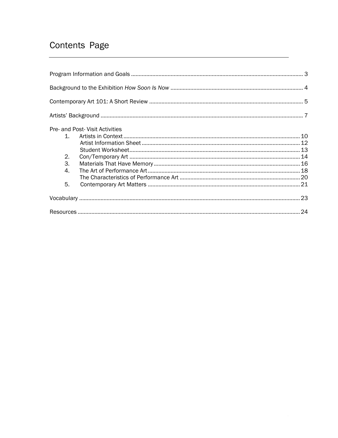### Contents Page

| Pre- and Post- Visit Activities |  |
|---------------------------------|--|
| $\mathbf{1}$                    |  |
|                                 |  |
|                                 |  |
| 2.                              |  |
| 3.                              |  |
| 4.                              |  |
|                                 |  |
| 5.                              |  |
|                                 |  |
|                                 |  |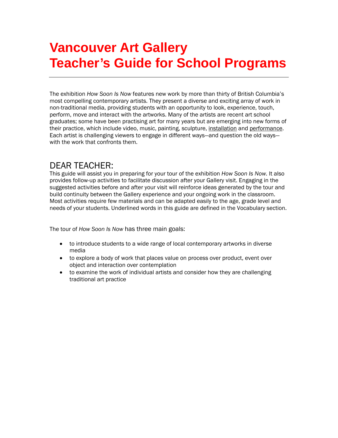# **Vancouver Art Gallery Teacher's Guide for School Programs**

The exhibition *How Soon Is Now* features new work by more than thirty of British Columbia's most compelling contemporary artists. They present a diverse and exciting array of work in non-traditional media, providing students with an opportunity to look, experience, touch, perform, move and interact with the artworks. Many of the artists are recent art school graduates; some have been practising art for many years but are emerging into new forms of their practice, which include video, music, painting, sculpture, installation and performance. Each artist is challenging viewers to engage in different ways—and question the old ways with the work that confronts them.

### DEAR TEACHER:

This guide will assist you in preparing for your tour of the exhibition *How Soon Is Now.* It also provides follow-up activities to facilitate discussion after your Gallery visit. Engaging in the suggested activities before and after your visit will reinforce ideas generated by the tour and build continuity between the Gallery experience and your ongoing work in the classroom. Most activities require few materials and can be adapted easily to the age, grade level and needs of your students. Underlined words in this guide are defined in the Vocabulary section.

The tour of *How Soon Is Now* has three main goals:

- to introduce students to a wide range of local contemporary artworks in diverse media
- to explore a body of work that places value on process over product, event over object and interaction over contemplation
- to examine the work of individual artists and consider how they are challenging traditional art practice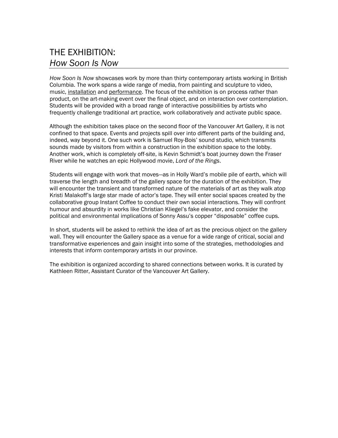### THE EXHIBITION: *How Soon Is Now*

*How Soon Is Now* showcases work by more than thirty contemporary artists working in British Columbia. The work spans a wide range of media, from painting and sculpture to video, music, installation and performance. The focus of the exhibition is on process rather than product, on the art-making event over the final object, and on interaction over contemplation. Students will be provided with a broad range of interactive possibilities by artists who frequently challenge traditional art practice, work collaboratively and activate public space.

Although the exhibition takes place on the second floor of the Vancouver Art Gallery, it is not confined to that space. Events and projects spill over into different parts of the building and, indeed, way beyond it. One such work is Samuel Roy-Bois' sound studio, which transmits sounds made by visitors from within a construction in the exhibition space to the lobby. Another work, which is completely off-site, is Kevin Schmidt's boat journey down the Fraser River while he watches an epic Hollywood movie, *Lord of the Rings*.

Students will engage with work that moves—as in Holly Ward's mobile pile of earth, which will traverse the length and breadth of the gallery space for the duration of the exhibition. They will encounter the transient and transformed nature of the materials of art as they walk atop Kristi Malakoff's large star made of actor's tape. They will enter social spaces created by the collaborative group Instant Coffee to conduct their own social interactions. They will confront humour and absurdity in works like Christian Kliegel's fake elevator, and consider the political and environmental implications of Sonny Assu's copper "disposable" coffee cups.

In short, students will be asked to rethink the idea of art as the precious object on the gallery wall. They will encounter the Gallery space as a venue for a wide range of critical, social and transformative experiences and gain insight into some of the strategies, methodologies and interests that inform contemporary artists in our province.

The exhibition is organized according to shared connections between works. It is curated by Kathleen Ritter, Assistant Curator of the Vancouver Art Gallery.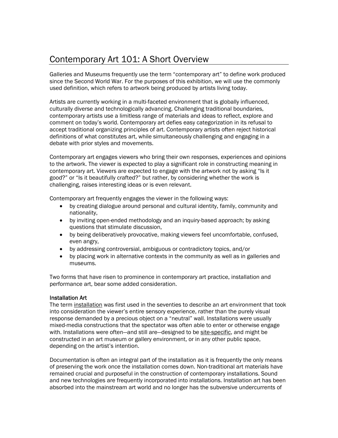### Contemporary Art 101: A Short Overview

Galleries and Museums frequently use the term "contemporary art" to define work produced since the Second World War. For the purposes of this exhibition, we will use the commonly used definition, which refers to artwork being produced by artists living today.

Artists are currently working in a multi-faceted environment that is globally influenced, culturally diverse and technologically advancing. Challenging traditional boundaries, contemporary artists use a limitless range of materials and ideas to reflect, explore and comment on today's world. Contemporary art defies easy categorization in its refusal to accept traditional organizing principles of art. Contemporary artists often reject historical definitions of what constitutes art, while simultaneously challenging and engaging in a debate with prior styles and movements.

Contemporary art engages viewers who bring their own responses, experiences and opinions to the artwork. The viewer is expected to play a significant role in constructing meaning in contemporary art. Viewers are expected to engage with the artwork not by asking "Is it good?" or "Is it beautifully crafted?" but rather, by considering whether the work is challenging, raises interesting ideas or is even relevant.

Contemporary art frequently engages the viewer in the following ways:

- by creating dialogue around personal and cultural identity, family, community and nationality,
- by inviting open-ended methodology and an inquiry-based approach; by asking questions that stimulate discussion,
- by being deliberatively provocative, making viewers feel uncomfortable, confused, even angry,
- by addressing controversial, ambiguous or contradictory topics, and/or
- by placing work in alternative contexts in the community as well as in galleries and museums.

Two forms that have risen to prominence in contemporary art practice, installation and performance art, bear some added consideration.

### Installation Art

The term installation was first used in the seventies to describe an art environment that took into consideration the viewer's entire sensory experience, rather than the purely visual response demanded by a precious object on a "neutral" wall. Installations were usually mixed-media constructions that the spectator was often able to enter or otherwise engage with. Installations were often—and still are—designed to be site-specific, and might be constructed in an art museum or gallery environment, or in any other public space, depending on the artist's intention.

Documentation is often an integral part of the installation as it is frequently the only means of preserving the work once the installation comes down. Non-traditional art materials have remained crucial and purposeful in the construction of contemporary installations. Sound and new technologies are frequently incorporated into installations. Installation art has been absorbed into the mainstream art world and no longer has the subversive undercurrents of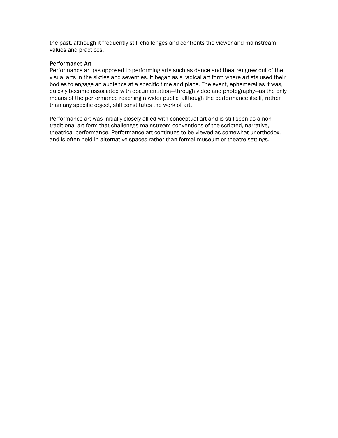the past, although it frequently still challenges and confronts the viewer and mainstream values and practices.

### Performance Art

Performance art (as opposed to performing arts such as dance and theatre) grew out of the visual arts in the sixties and seventies. It began as a radical art form where artists used their bodies to engage an audience at a specific time and place. The event, ephemeral as it was, quickly became associated with documentation—through video and photography—as the only means of the performance reaching a wider public, although the performance itself, rather than any specific object, still constitutes the work of art.

Performance art was initially closely allied with conceptual art and is still seen as a nontraditional art form that challenges mainstream conventions of the scripted, narrative, theatrical performance. Performance art continues to be viewed as somewhat unorthodox, and is often held in alternative spaces rather than formal museum or theatre settings.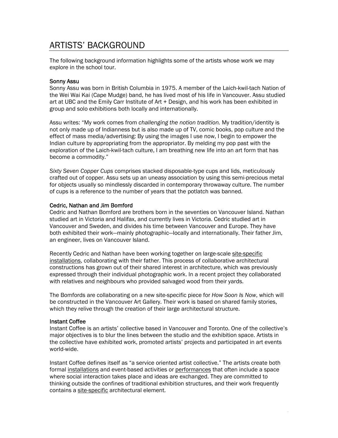### ARTISTS' BACKGROUND

The following background information highlights some of the artists whose work we may explore in the school tour.

### Sonny Assu

Sonny Assu was born in British Columbia in 1975. A member of the Laich-kwil-tach Nation of the Wei Wai Kai (Cape Mudge) band, he has lived most of his life in Vancouver. Assu studied art at UBC and the Emily Carr Institute of Art + Design, and his work has been exhibited in group and solo exhibitions both locally and internationally.

Assu writes: "My work comes from *challenging the notion tradition.* My tradition/identity is not only made up of Indianness but is also made up of TV, comic books, pop culture and the effect of mass media/advertising: By using the images I use now, I begin to empower the Indian culture by appropriating from the appropriator. By melding my pop past with the exploration of the Laich-kwil-tach culture, I am breathing new life into an art form that has become a commodity."

*Sixty Seven Copper Cups* comprises stacked disposable-type cups and lids, meticulously crafted out of copper. Assu sets up an uneasy association by using this semi-precious metal for objects usually so mindlessly discarded in contemporary throwaway culture. The number of cups is a reference to the number of years that the potlatch was banned.

#### Cedric, Nathan and Jim Bomford

Cedric and Nathan Bomford are brothers born in the seventies on Vancouver Island. Nathan studied art in Victoria and Halifax, and currently lives in Victoria. Cedric studied art in Vancouver and Sweden, and divides his time between Vancouver and Europe. They have both exhibited their work—mainly photographic—locally and internationally. Their father Jim, an engineer, lives on Vancouver Island.

Recently Cedric and Nathan have been working together on large-scale site-specific installations, collaborating with their father. This process of collaborative architectural constructions has grown out of their shared interest in architecture, which was previously expressed through their individual photographic work. In a recent project they collaborated with relatives and neighbours who provided salvaged wood from their yards.

The Bomfords are collaborating on a new site-specific piece for *How Soon Is Now*, which will be constructed in the Vancouver Art Gallery. Their work is based on shared family stories, which they relive through the creation of their large architectural structure.

#### Instant Coffee

Instant Coffee is an artists' collective based in Vancouver and Toronto. One of the collective's major objectives is to blur the lines between the studio and the exhibition space. Artists in the collective have exhibited work, promoted artists' projects and participated in art events world-wide.

Instant Coffee defines itself as "a service oriented artist collective." The artists create both formal installations and event-based activities or performances that often include a space where social interaction takes place and ideas are exchanged. They are committed to thinking outside the confines of traditional exhibition structures, and their work frequently contains a site-specific architectural element.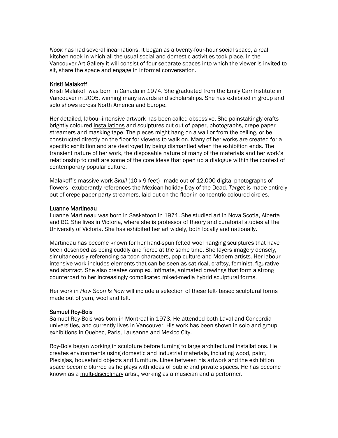*Nook* has had several incarnations. It began as a twenty-four-hour social space, a real kitchen nook in which all the usual social and domestic activities took place. In the Vancouver Art Gallery it will consist of four separate spaces into which the viewer is invited to sit, share the space and engage in informal conversation.

#### Kristi Malakoff

Kristi Malakoff was born in Canada in 1974. She graduated from the Emily Carr Institute in Vancouver in 2005, winning many awards and scholarships. She has exhibited in group and solo shows across North America and Europe.

Her detailed, labour-intensive artwork has been called obsessive. She painstakingly crafts brightly coloured installations and sculptures cut out of paper, photographs, crepe paper streamers and masking tape. The pieces might hang on a wall or from the ceiling, or be constructed directly on the floor for viewers to walk on. Many of her works are created for a specific exhibition and are destroyed by being dismantled when the exhibition ends. The transient nature of her work, the disposable nature of many of the materials and her work's relationship to craft are some of the core ideas that open up a dialogue within the context of contemporary popular culture.

Malakoff's massive work *Skull* (10 x 9 feet)—made out of 12,000 digital photographs of flowers—exuberantly references the Mexican holiday Day of the Dead. *Target* is made entirely out of crepe paper party streamers, laid out on the floor in concentric coloured circles.

#### Luanne Martineau

Luanne Martineau was born in Saskatoon in 1971. She studied art in Nova Scotia, Alberta and BC. She lives in Victoria, where she is professor of theory and curatorial studies at the University of Victoria. She has exhibited her art widely, both locally and nationally.

Martineau has become known for her hand-spun felted wool hanging sculptures that have been described as being cuddly and fierce at the same time. She layers imagery densely, simultaneously referencing cartoon characters, pop culture and Modern artists. Her labourintensive work includes elements that can be seen as satirical, craftsy, feminist, figurative and abstract. She also creates complex, intimate, animated drawings that form a strong counterpart to her increasingly complicated mixed-media hybrid sculptural forms.

Her work in *How Soon Is Now* will include a selection of these felt- based sculptural forms made out of yarn, wool and felt.

#### Samuel Roy-Bois

Samuel Roy-Bois was born in Montreal in 1973. He attended both Laval and Concordia universities, and currently lives in Vancouver. His work has been shown in solo and group exhibitions in Quebec, Paris, Lausanne and Mexico City.

Roy-Bois began working in sculpture before turning to large architectural installations. He creates environments using domestic and industrial materials, including wood, paint, Plexiglas, household objects and furniture. Lines between his artwork and the exhibition space become blurred as he plays with ideas of public and private spaces. He has become known as a multi-disciplinary artist, working as a musician and a performer.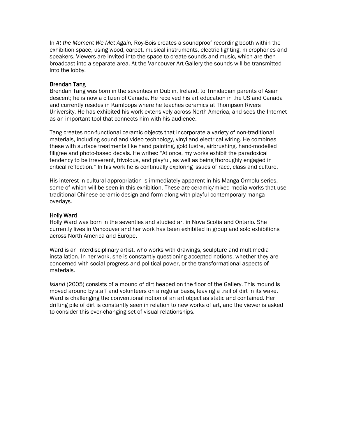In *At the Moment We Met Again,* Roy-Bois creates a soundproof recording booth within the exhibition space, using wood, carpet, musical instruments, electric lighting, microphones and speakers. Viewers are invited into the space to create sounds and music, which are then broadcast into a separate area. At the Vancouver Art Gallery the sounds will be transmitted into the lobby.

### Brendan Tang

Brendan Tang was born in the seventies in Dublin, Ireland, to Trinidadian parents of Asian descent; he is now a citizen of Canada. He received his art education in the US and Canada and currently resides in Kamloops where he teaches ceramics at Thompson Rivers University. He has exhibited his work extensively across North America, and sees the Internet as an important tool that connects him with his audience.

Tang creates non-functional ceramic objects that incorporate a variety of non-traditional materials, including sound and video technology, vinyl and electrical wiring. He combines these with surface treatments like hand painting, gold lustre, airbrushing, hand-modelled filigree and photo-based decals. He writes: "At once, my works exhibit the paradoxical tendency to be irreverent, frivolous, and playful, as well as being thoroughly engaged in critical reflection." In his work he is continually exploring issues of race, class and culture.

His interest in cultural appropriation is immediately apparent in his Manga Ormolu series, some of which will be seen in this exhibition. These are ceramic/mixed media works that use traditional Chinese ceramic design and form along with playful contemporary manga overlays.

### Holly Ward

Holly Ward was born in the seventies and studied art in Nova Scotia and Ontario. She currently lives in Vancouver and her work has been exhibited in group and solo exhibitions across North America and Europe.

Ward is an interdisciplinary artist, who works with drawings, sculpture and multimedia installation. In her work, she is constantly questioning accepted notions, whether they are concerned with social progress and political power, or the transformational aspects of materials.

*Island* (2005) consists of a mound of dirt heaped on the floor of the Gallery. This mound is moved around by staff and volunteers on a regular basis, leaving a trail of dirt in its wake. Ward is challenging the conventional notion of an art object as static and contained. Her drifting pile of dirt is constantly seen in relation to new works of art, and the viewer is asked to consider this ever-changing set of visual relationships.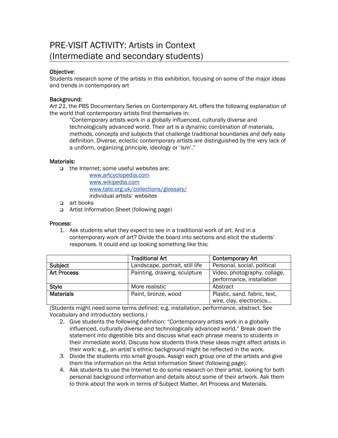### PRE-VISIT ACTIVITY: Artists in Context (Intermediate and secondary students)

### Objective:

Students research some of the artists in this exhibition, focusing on some of the major ideas and trends in contemporary art

### Background:

*Art 21*, the PBS Documentary Series on Contemporary Art, offers the following explanation of the world that contemporary artists find themselves in:

"Contemporary artists work in a globally influenced, culturally diverse and technologically advanced world. Their art is a dynamic combination of materials, methods, concepts and subjects that challenge traditional boundaries and defy easy definition. Diverse, eclectic contemporary artists are distinguished by the very lack of a uniform, organizing principle, ideology or 'ism'."

### Materials:

 $\Box$  the Internet: some useful websites are:

[www.artcyclopedia.com](http://www.artcyclopedia.com/) [www.wikipedia.com](http://www.wikipedia.com/)  [www.tate.org.uk/collections/glossary/](http://www.tate.org.uk/collections/glossary/) individual artists' websites

- art books
- Artist Information Sheet (following page)

### Process:

1. Ask students what they expect to see in a traditional work of art. And in a contemporary work of art? Divide the board into sections and elicit the students' responses. It could end up looking something like this:

|                    | <b>Traditional Art</b>          | <b>Contemporary Art</b>                                   |
|--------------------|---------------------------------|-----------------------------------------------------------|
| Subject            | Landscape, portrait, still life | Personal, social, political                               |
| <b>Art Process</b> | Painting, drawing, sculpture    | Video, photography, collage,<br>performance, installation |
| <b>Style</b>       | More realistic                  | Abstract                                                  |
| <b>Materials</b>   | Paint, bronze, wood             | Plastic, sand, fabric, text,<br>wire, clay, electronics   |

(Students might need some terms defined; e.g. installation, performance, abstract. See Vocabulary and introductory sections.)

- 2. Give students the following definition: "Contemporary artists work in a globally influenced, culturally diverse and technologically advanced world." Break down the statement into digestible bits and discuss what each phrase means to students in their immediate world. Discuss how students think these ideas might affect artists in their work: e.g., an artist's ethnic background might be reflected in the work.
- 3. Divide the students into small groups. Assign each group one of the artists and give them the information on the Artist Information Sheet (following page).
- 4. Ask students to use the Internet to do some research on their artist, looking for both personal background information and details about some of their artwork. Ask them to think about the work in terms of Subject Matter, Art Process and Materials.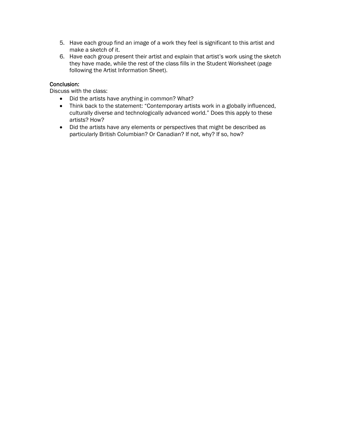- 5. Have each group find an image of a work they feel is significant to this artist and make a sketch of it.
- 6. Have each group present their artist and explain that artist's work using the sketch they have made, while the rest of the class fills in the Student Worksheet (page following the Artist Information Sheet).

### Conclusion:

Discuss with the class:

- Did the artists have anything in common? What?
- Think back to the statement: "Contemporary artists work in a globally influenced, culturally diverse and technologically advanced world." Does this apply to these artists? How?
- Did the artists have any elements or perspectives that might be described as particularly British Columbian? Or Canadian? If not, why? If so, how?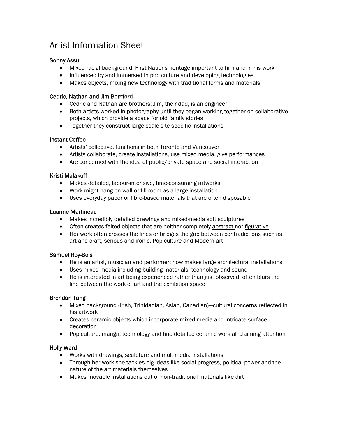### Artist Information Sheet

### Sonny Assu

- Mixed racial background; First Nations heritage important to him and in his work
- Influenced by and immersed in pop culture and developing technologies
- Makes objects, mixing new technology with traditional forms and materials

### Cedric, Nathan and Jim Bomford

- Cedric and Nathan are brothers; Jim, their dad, is an engineer
- Both artists worked in photography until they began working together on collaborative projects, which provide a space for old family stories
- Together they construct large-scale site-specific installations

### Instant Coffee

- Artists' collective, functions in both Toronto and Vancouver
- Artists collaborate, create installations, use mixed media, give performances
- Are concerned with the idea of public/private space and social interaction

### Kristi Malakoff

- Makes detailed, labour-intensive, time-consuming artworks
- Work might hang on wall or fill room as a large installation
- Uses everyday paper or fibre-based materials that are often disposable

### Luanne Martineau

- Makes incredibly detailed drawings and mixed-media soft sculptures
- Often creates felted objects that are neither completely abstract nor figurative
- Her work often crosses the lines or bridges the gap between contradictions such as art and craft, serious and ironic, Pop culture and Modern art

### Samuel Roy-Bois

- He is an artist, musician and performer; now makes large architectural installations
- Uses mixed media including building materials, technology and sound
- He is interested in art being experienced rather than just observed; often blurs the line between the work of art and the exhibition space

### Brendan Tang

- Mixed background (Irish, Trinidadian, Asian, Canadian)—cultural concerns reflected in his artwork
- Creates ceramic objects which incorporate mixed media and intricate surface decoration
- Pop culture, manga, technology and fine detailed ceramic work all claiming attention

### Holly Ward

- Works with drawings, sculpture and multimedia installations
- Through her work she tackles big ideas like social progress, political power and the nature of the art materials themselves
- Makes movable installations out of non-traditional materials like dirt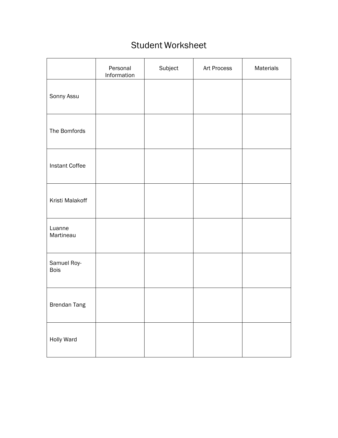### Student Worksheet

|                            | Personal<br>Information | Subject | Art Process | Materials |
|----------------------------|-------------------------|---------|-------------|-----------|
| Sonny Assu                 |                         |         |             |           |
| The Bomfords               |                         |         |             |           |
| Instant Coffee             |                         |         |             |           |
| Kristi Malakoff            |                         |         |             |           |
| Luanne<br>Martineau        |                         |         |             |           |
| Samuel Roy-<br><b>Bois</b> |                         |         |             |           |
| Brendan Tang               |                         |         |             |           |
| Holly Ward                 |                         |         |             |           |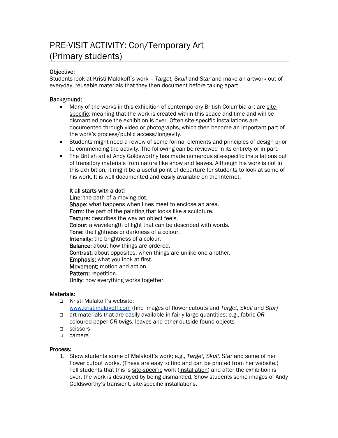### PRE-VISIT ACTIVITY: Con/Temporary Art (Primary students)

### Objective:

Students look at Kristi Malakoff's work – *Target, Skull* and *Star* and make an artwork out of everyday, reusable materials that they then document before taking apart

### Background:

- Many of the works in this exhibition of contemporary British Columbia art are sitespecific, meaning that the work is created within this space and time and will be dismantled once the exhibition is over. Often site-specific installations are documented through video or photographs, which then become an important part of the work's process/public access/longevity.
- Students might need a review of some formal elements and principles of design prior to commencing the activity. The following can be reviewed in its entirety or in part.
- The British artist Andy Goldsworthy has made numerous site-specific installations out of transitory materials from nature like snow and leaves. Although his work is not in this exhibition, it might be a useful point of departure for students to look at some of his work. It is well documented and easily available on the Internet.

### It all starts with a dot!

Line: the path of a moving dot. Shape: what happens when lines meet to enclose an area. Form: the part of the painting that looks like a sculpture. Texture: describes the way an object feels. Colour: a wavelength of light that can be described with words. Tone: the lightness or darkness of a colour. Intensity: the brightness of a colour. Balance: about how things are ordered. Contrast: about opposites, when things are unlike one another. Emphasis: what you look at first. Movement: motion and action. Pattern: repetition. Unity: how everything works together.

### Materials:

- □ Kristi Malakoff's website: [www.kristimalakoff.com](http://www.kristimalakoff.com/) (find images of flower cutouts and *Target, Skull* and *Star)*
- art materials that are easily available in fairly large quantities; e.g., fabric *OR* coloured paper *OR* twigs, leaves and other outside found objects
- □ scissors
- □ camera

### Process:

1. Show students some of Malakoff's work; e.g., *Target, Skull, Star* and some of her flower cutout works. (These are easy to find and can be printed from her website.) Tell students that this is site-specific work (installation) and after the exhibition is over, the work is destroyed by being dismantled. Show students some images of Andy Goldsworthy's transient, site-specific installations.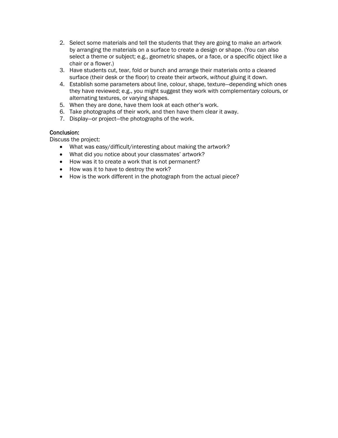- 2. Select some materials and tell the students that they are going to make an artwork by arranging the materials on a surface to create a design or shape. (You can also select a theme or subject; e.g., geometric shapes, or a face, or a specific object like a chair or a flower.)
- 3. Have students cut, tear, fold or bunch and arrange their materials onto a cleared surface (their desk or the floor) to create their artwork, *without* gluing it down.
- 4. Establish some parameters about line, colour, shape, texture—depending which ones they have reviewed; e.g., you might suggest they work with complementary colours, or alternating textures, or varying shapes.
- 5. When they are done, have them look at each other's work.
- 6. Take photographs of their work, and then have them clear it away.
- 7. Display—or project—the photographs of the work.

### Conclusion:

Discuss the project:

- What was easy/difficult/interesting about making the artwork?
- What did you notice about your classmates' artwork?
- How was it to create a work that is not permanent?
- How was it to have to destroy the work?
- How is the work different in the photograph from the actual piece?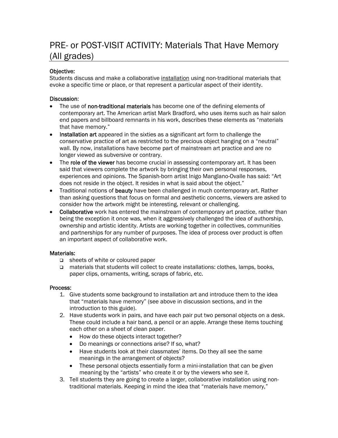### PRE- or POST-VISIT ACTIVITY: Materials That Have Memory (All grades)

### Objective:

Students discuss and make a collaborative installation using non-traditional materials that evoke a specific time or place, or that represent a particular aspect of their identity.

### Discussion:

- The use of non-traditional materials has become one of the defining elements of contemporary art. The American artist Mark Bradford, who uses items such as hair salon end papers and billboard remnants in his work, describes these elements as "materials that have memory."
- Installation art appeared in the sixties as a significant art form to challenge the conservative practice of art as restricted to the precious object hanging on a "neutral" wall. By now, installations have become part of mainstream art practice and are no longer viewed as subversive or contrary.
- The role of the viewer has become crucial in assessing contemporary art. It has been said that viewers complete the artwork by bringing their own personal responses, experiences and opinions. The Spanish-born artist Inigo Manglano-Ovalle has said: "Art does not reside in the object. It resides in what is said about the object."
- Traditional notions of **beauty** have been challenged in much contemporary art. Rather than asking questions that focus on formal and aesthetic concerns, viewers are asked to consider how the artwork might be interesting, relevant or challenging.
- **Collaborative** work has entered the mainstream of contemporary art practice, rather than being the exception it once was, when it aggressively challenged the idea of authorship, ownership and artistic identity. Artists are working together in collectives, communities and partnerships for any number of purposes. The idea of process over product is often an important aspect of collaborative work.

### Materials:

- □ sheets of white or coloured paper
- materials that students will collect to create installations: clothes, lamps, books, paper clips, ornaments, writing, scraps of fabric, etc.

### Process:

- 1. Give students some background to installation art and introduce them to the idea that "materials have memory" (see above in discussion sections, and in the introduction to this guide).
- 2. Have students work in pairs, and have each pair put two personal objects on a desk. These could include a hair band, a pencil or an apple. Arrange these items touching each other on a sheet of clean paper.
	- How do these objects interact together?
	- Do meanings or connections arise? If so, what?
	- Have students look at their classmates' items. Do they all see the same meanings in the arrangement of objects?
	- These personal objects essentially form a mini-installation that can be given meaning by the "artists" who create it or by the viewers who see it.
- 3. Tell students they are going to create a larger, collaborative installation using nontraditional materials. Keeping in mind the idea that "materials have memory,"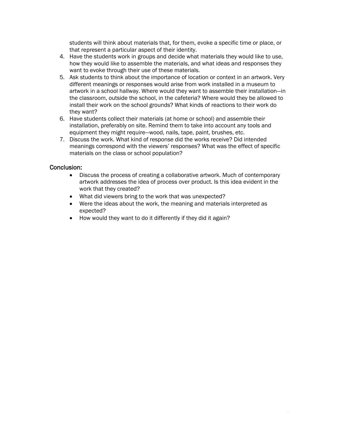students will think about materials that, for them, evoke a specific time or place, or that represent a particular aspect of their identity.

- 4. Have the students work in groups and decide what materials they would like to use, how they would like to assemble the materials, and what ideas and responses they want to evoke through their use of these materials.
- 5. Ask students to think about the importance of location or context in an artwork. Very different meanings or responses would arise from work installed in a museum to artwork in a school hallway. Where would they want to assemble their installation—in the classroom, outside the school, in the cafeteria? Where would they be allowed to install their work on the school grounds? What kinds of reactions to their work do they want?
- 6. Have students collect their materials (at home or school) and assemble their installation, preferably on site. Remind them to take into account any tools and equipment they might require—wood, nails, tape, paint, brushes, etc.
- 7. Discuss the work. What kind of response did the works receive? Did intended meanings correspond with the viewers' responses? What was the effect of specific materials on the class or school population?

### Conclusion:

- Discuss the process of creating a collaborative artwork. Much of contemporary artwork addresses the idea of process over product. Is this idea evident in the work that they created?
- What did viewers bring to the work that was unexpected?
- Were the ideas about the work, the meaning and materials interpreted as expected?
- How would they want to do it differently if they did it again?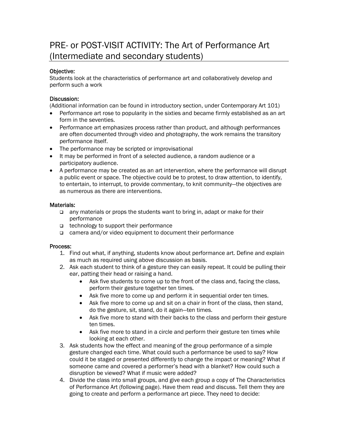### PRE- or POST-VISIT ACTIVITY: The Art of Performance Art (Intermediate and secondary students)

### Objective:

Students look at the characteristics of performance art and collaboratively develop and perform such a work

### Discussion:

(Additional information can be found in introductory section, under Contemporary Art 101)

- Performance art rose to popularity in the sixties and became firmly established as an art form in the seventies.
- Performance art emphasizes process rather than product, and although performances are often documented through video and photography, the work remains the transitory performance itself.
- The performance may be scripted or improvisational
- It may be performed in front of a selected audience, a random audience or a participatory audience.
- A performance may be created as an art intervention, where the performance will disrupt a public event or space. The objective could be to protest, to draw attention, to identify, to entertain, to interrupt, to provide commentary, to knit community—the objectives are as numerous as there are interventions.

### Materials:

- any materials or props the students want to bring in, adapt or make for their performance
- □ technology to support their performance
- camera and/or video equipment to document their performance

### Process:

- 1. Find out what, if anything, students know about performance art. Define and explain as much as required using above discussion as basis.
- 2. Ask each student to think of a gesture they can easily repeat. It could be pulling their ear, patting their head or raising a hand.
	- Ask five students to come up to the front of the class and, facing the class, perform their gesture together ten times.
	- Ask five more to come up and perform it in sequential order ten times.
	- Ask five more to come up and sit on a chair in front of the class, then stand, do the gesture, sit, stand, do it again—ten times.
	- Ask five more to stand with their backs to the class and perform their gesture ten times.
	- Ask five more to stand in a circle and perform their gesture ten times while looking at each other.
- 3. Ask students how the effect and meaning of the group performance of a simple gesture changed each time. What could such a performance be used to say? How could it be staged or presented differently to change the impact or meaning? What if someone came and covered a performer's head with a blanket? How could such a disruption be viewed? What if music were added?
- 4. Divide the class into small groups, and give each group a copy of The Characteristics of Performance Art (following page). Have them read and discuss. Tell them they are going to create and perform a performance art piece. They need to decide: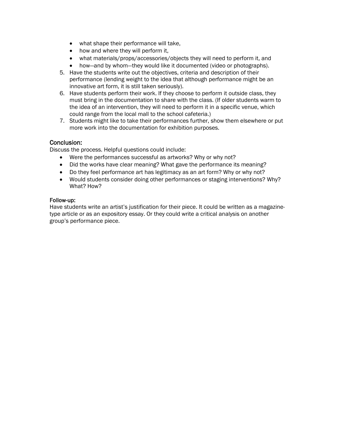- what shape their performance will take,
- how and where they will perform it,
- what materials/props/accessories/objects they will need to perform it, and
- how—and by whom—they would like it documented (video or photographs).
- 5. Have the students write out the objectives, criteria and description of their performance (lending weight to the idea that although performance might be an innovative art form, it is still taken seriously).
- 6. Have students perform their work. If they choose to perform it outside class, they must bring in the documentation to share with the class. (If older students warm to the idea of an intervention, they will need to perform it in a specific venue, which could range from the local mall to the school cafeteria.)
- 7. Students might like to take their performances further, show them elsewhere or put more work into the documentation for exhibition purposes.

### Conclusion:

Discuss the process. Helpful questions could include:

- Were the performances successful as artworks? Why or why not?
- Did the works have clear meaning? What gave the performance its meaning?
- Do they feel performance art has legitimacy as an art form? Why or why not?
- Would students consider doing other performances or staging interventions? Why? What? How?

### Follow-up:

Have students write an artist's justification for their piece. It could be written as a magazinetype article or as an expository essay. Or they could write a critical analysis on another group's performance piece.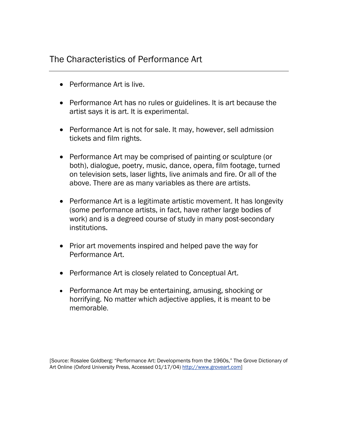### The Characteristics of Performance Art

- Performance Art is live.
- Performance Art has no rules or guidelines. It is art because the artist says it is art. It is experimental.
- Performance Art is not for sale. It may, however, sell admission tickets and film rights.
- Performance Art may be comprised of painting or sculpture (or both), dialogue, poetry, music, dance, opera, film footage, turned on television sets, laser lights, live animals and fire. Or all of the above. There are as many variables as there are artists.
- Performance Art is a legitimate artistic movement. It has longevity (some performance artists, in fact, have rather large bodies of work) and is a degreed course of study in many post-secondary institutions.
- Prior art movements inspired and helped pave the way for Performance Art.
- Performance Art is closely related to Conceptual Art.
- Performance Art may be entertaining, amusing, shocking or horrifying. No matter which adjective applies, it is meant to be memorable.

[Source: Rosalee Goldberg: "Performance Art: Developments from the 1960s," The Grove Dictionary of Art Online (Oxford University Press, Accessed 01/17/04) [http://www.groveart.com\]](http://www.groveart.com/)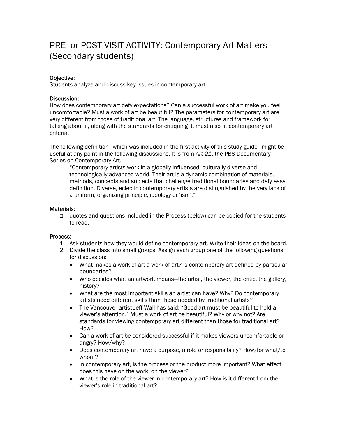### Objective:

Students analyze and discuss key issues in contemporary art.

### Discussion:

How does contemporary art defy expectations? Can a successful work of art make you feel uncomfortable? Must a work of art be beautiful? The parameters for contemporary art are very different from those of traditional art. The language, structures and framework for talking about it, along with the standards for critiquing it, must also fit contemporary art criteria.

The following definition—which was included in the first activity of this study guide—might be useful at any point in the following discussions. It is from *Art 21*, the PBS Documentary Series on Contemporary Art.

"Contemporary artists work in a globally influenced, culturally diverse and technologically advanced world. Their art is a dynamic combination of materials, methods, concepts and subjects that challenge traditional boundaries and defy easy definition. Diverse, eclectic contemporary artists are distinguished by the very lack of a uniform, organizing principle, ideology or 'ism'."

#### Materials:

 quotes and questions included in the Process (below) can be copied for the students to read.

#### Process:

- 1. Ask students how they would define contemporary art. Write their ideas on the board.
- 2. Divide the class into small groups. Assign each group one of the following questions for discussion:
	- What makes a work of art a work of art? Is contemporary art defined by particular boundaries?
	- Who decides what an artwork means—the artist, the viewer, the critic, the gallery, history?
	- What are the most important skills an artist can have? Why? Do contemporary artists need different skills than those needed by traditional artists?
	- The Vancouver artist Jeff Wall has said: "Good art must be beautiful to hold a viewer's attention." Must a work of art be beautiful? Why or why not? Are standards for viewing contemporary art different than those for traditional art? How?
	- Can a work of art be considered successful if it makes viewers uncomfortable or angry? How/why?
	- Does contemporary art have a purpose, a role or responsibility? How/for what/to whom?
	- In contemporary art, is the process or the product more important? What effect does this have on the work, on the viewer?
	- What is the role of the viewer in contemporary art? How is it different from the viewer's role in traditional art?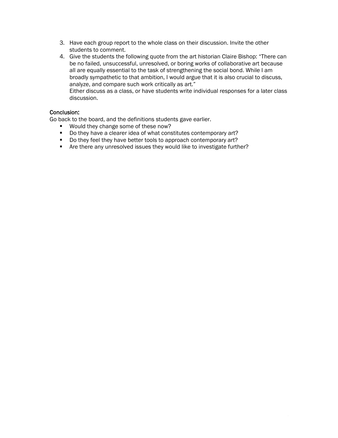- 3. Have each group report to the whole class on their discussion. Invite the other students to comment.
- 4. Give the students the following quote from the art historian Claire Bishop: "There can be no failed, unsuccessful, unresolved, or boring works of collaborative art because all are equally essential to the task of strengthening the social bond. While I am broadly sympathetic to that ambition, I would argue that it is also crucial to discuss, analyze, and compare such work critically as art." Either discuss as a class, or have students write individual responses for a later class discussion.

### Conclusion:

Go back to the board, and the definitions students gave earlier.

- **Would they change some of these now?**
- Do they have a clearer idea of what constitutes contemporary art?
- Do they feel they have better tools to approach contemporary art?
- Are there any unresolved issues they would like to investigate further?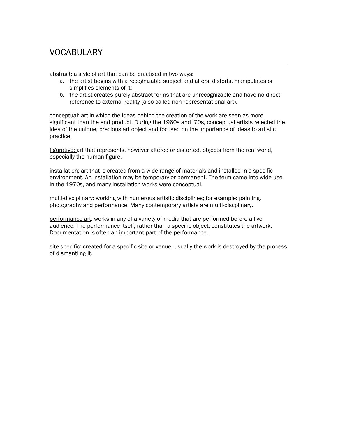### VOCABULARY

abstract: a style of art that can be practised in two ways:

- a. the artist begins with a recognizable subject and alters, distorts, manipulates or simplifies elements of it;
- b. the artist creates purely abstract forms that are unrecognizable and have no direct reference to external reality (also called non-representational art).

conceptual: art in which the ideas behind the creation of the work are seen as more significant than the end product. During the 1960s and '70s, conceptual artists rejected the idea of the unique, precious art object and focused on the importance of ideas to artistic practice.

figurative: art that represents, however altered or distorted, objects from the real world, especially the human figure.

installation: art that is created from a wide range of materials and installed in a specific environment. An installation may be temporary or permanent. The term came into wide use in the 1970s, and many installation works were conceptual.

multi-disciplinary: working with numerous artistic disciplines; for example: painting, photography and performance. Many contemporary artists are multi-discplinary.

performance art: works in any of a variety of media that are performed before a live audience. The performance itself, rather than a specific object, constitutes the artwork. Documentation is often an important part of the performance.

site-specific: created for a specific site or venue; usually the work is destroyed by the process of dismantling it.